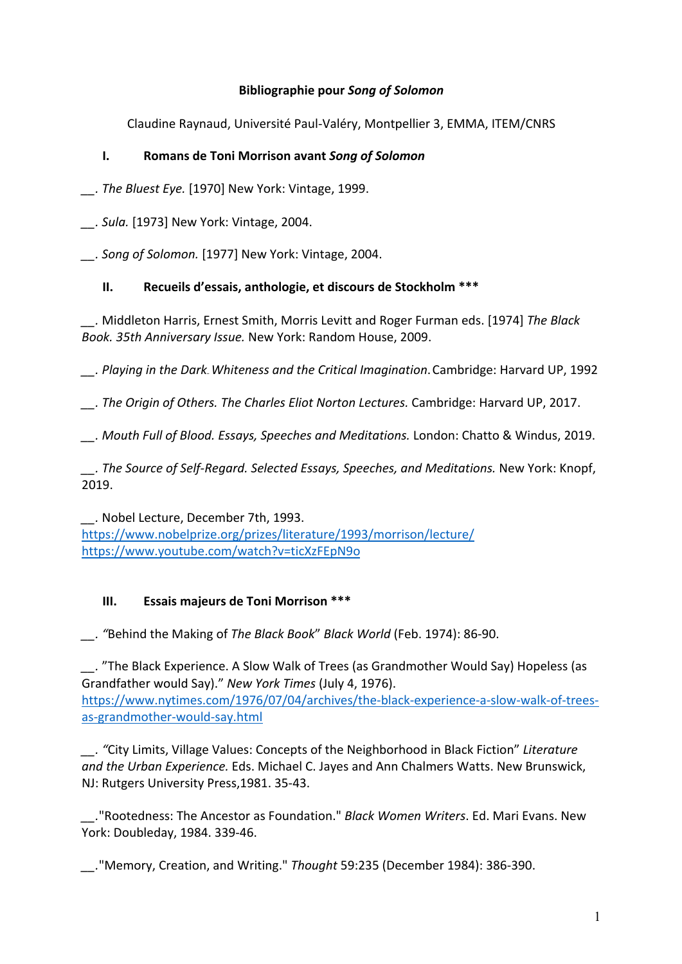## **Bibliographie pour** *Song of Solomon*

Claudine Raynaud, Université Paul-Valéry, Montpellier 3, EMMA, ITEM/CNRS

# **I. Romans de Toni Morrison avant** *Song of Solomon*

*\_\_. The Bluest Eye.* [1970] New York: Vintage, 1999.

*\_\_. Sula.* [1973] New York: Vintage, 2004.

*\_\_. Song of Solomon.* [1977] New York: Vintage, 2004.

## **II. Recueils d'essais, anthologie, et discours de Stockholm \*\*\***

*\_\_.* Middleton Harris, Ernest Smith, Morris Levitt and Roger Furman eds. [1974] *The Black Book. 35th Anniversary Issue.* New York: Random House, 2009.

*\_\_. Playing in the Dark.. Whiteness and the Critical Imagination*.Cambridge: Harvard UP, 1992

*\_\_. The Origin of Others. The Charles Eliot Norton Lectures.* Cambridge: Harvard UP, 2017.

*\_\_. Mouth Full of Blood. Essays, Speeches and Meditations.* London: Chatto & Windus, 2019.

*\_\_. The Source of Self-Regard. Selected Essays, Speeches, and Meditations.* New York: Knopf, 2019.

*\_\_.* Nobel Lecture, December 7th, 1993. https://www.nobelprize.org/prizes/literature/1993/morrison/lecture/ https://www.youtube.com/watch?v=ticXzFEpN9o

## **III. Essais majeurs de Toni Morrison \*\*\***

*\_\_. "*Behind the Making of *The Black Book*" *Black World* (Feb. 1974): 86-90.

*\_\_.* "The Black Experience. A Slow Walk of Trees (as Grandmother Would Say) Hopeless (as Grandfather would Say)." *New York Times* (July 4, 1976). https://www.nytimes.com/1976/07/04/archives/the-black-experience-a-slow-walk-of-treesas-grandmother-would-say.html

*\_\_. "*City Limits, Village Values: Concepts of the Neighborhood in Black Fiction" *Literature and the Urban Experience.* Eds. Michael C. Jayes and Ann Chalmers Watts. New Brunswick, NJ: Rutgers University Press,1981. 35-43.

*\_\_.*"Rootedness: The Ancestor as Foundation." *Black Women Writers*. Ed. Mari Evans. New York: Doubleday, 1984. 339-46.

*\_\_.*"Memory, Creation, and Writing." *Thought* 59:235 (December 1984): 386-390.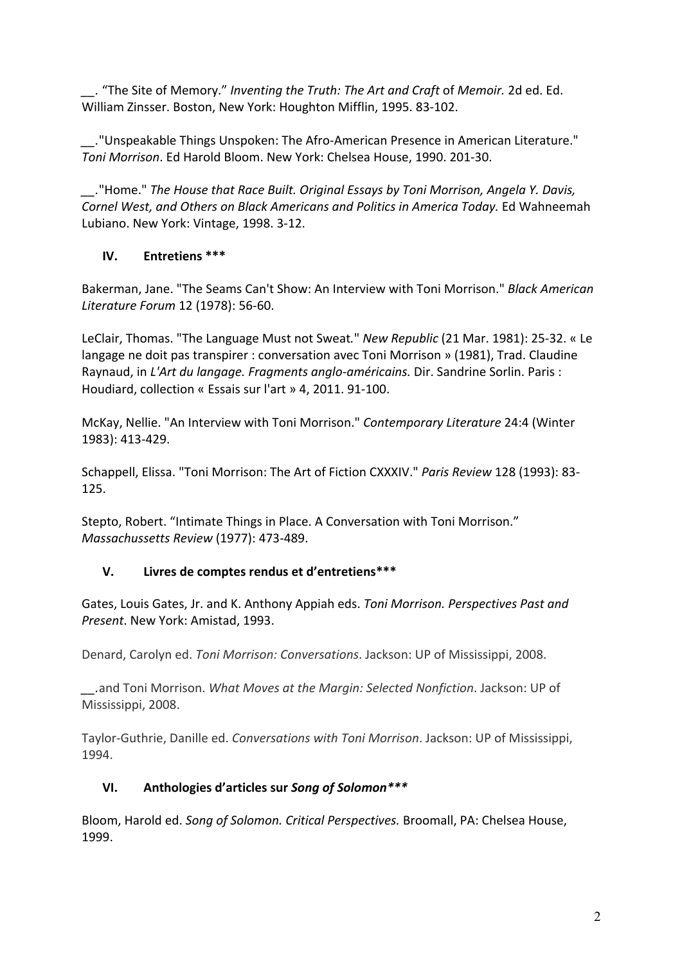*\_\_.* "The Site of Memory." *Inventing the Truth: The Art and Craft* of *Memoir.* 2d ed. Ed. William Zinsser. Boston, New York: Houghton Mifflin, 1995. 83-102.

*\_\_.*"Unspeakable Things Unspoken: The Afro-American Presence in American Literature." *Toni Morrison*. Ed Harold Bloom. New York: Chelsea House, 1990. 201-30.

*\_\_.*"Home." *The House that Race Built. Original Essays by Toni Morrison, Angela Y. Davis, Cornel West, and Others on Black Americans and Politics in America Today.* Ed Wahneemah Lubiano. New York: Vintage, 1998. 3-12.

## **IV. Entretiens \*\*\***

Bakerman, Jane. "The Seams Can't Show: An Interview with Toni Morrison." *Black American Literature Forum* 12 (1978): 56-60.

LeClair, Thomas. "The Language Must not Sweat*.*" *New Republic* (21 Mar. 1981): 25-32. « Le langage ne doit pas transpirer : conversation avec Toni Morrison » (1981), Trad. Claudine Raynaud, in *L'Art du langage. Fragments anglo-américains.* Dir. Sandrine Sorlin. Paris : Houdiard, collection « Essais sur l'art » 4, 2011. 91-100.

McKay, Nellie. "An Interview with Toni Morrison." *Contemporary Literature* 24:4 (Winter 1983): 413-429.

Schappell, Elissa. "Toni Morrison: The Art of Fiction CXXXIV." *Paris Review* 128 (1993): 83- 125.

Stepto, Robert. "Intimate Things in Place. A Conversation with Toni Morrison." *Massachussetts Review* (1977): 473-489.

# **V. Livres de comptes rendus et d'entretiens\*\*\***

Gates, Louis Gates, Jr. and K. Anthony Appiah eds. *Toni Morrison. Perspectives Past and Present*. New York: Amistad, 1993.

Denard, Carolyn ed. *Toni Morrison: Conversations*. Jackson: UP of Mississippi, 2008.

*\_\_.*and Toni Morrison. *What Moves at the Margin: Selected Nonfiction*. Jackson: UP of Mississippi, 2008.

Taylor-Guthrie, Danille ed. *Conversations with Toni Morrison*. Jackson: UP of Mississippi, 1994.

# **VI. Anthologies d'articles sur** *Song of Solomon\*\*\**

Bloom, Harold ed. *Song of Solomon. Critical Perspectives.* Broomall, PA: Chelsea House, 1999.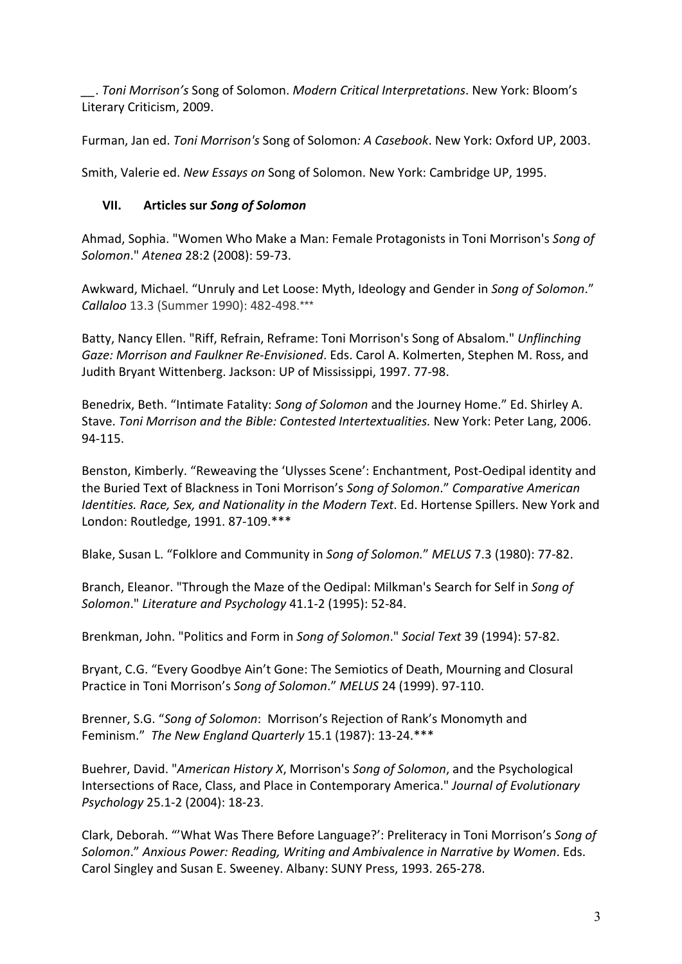*\_\_*. *Toni Morrison's* Song of Solomon. *Modern Critical Interpretations*. New York: Bloom's Literary Criticism, 2009.

Furman, Jan ed. *Toni Morrison's* Song of Solomon*: A Casebook*. New York: Oxford UP, 2003.

Smith, Valerie ed. *New Essays on* Song of Solomon. New York: Cambridge UP, 1995.

## **VII. Articles sur** *Song of Solomon*

Ahmad, Sophia. "Women Who Make a Man: Female Protagonists in Toni Morrison's *Song of Solomon*." *Atenea* 28:2 (2008): 59-73.

Awkward, Michael. "Unruly and Let Loose: Myth, Ideology and Gender in *Song of Solomon*." *Callaloo* 13.3 (Summer 1990): 482-498.\*\*\*

Batty, Nancy Ellen. "Riff, Refrain, Reframe: Toni Morrison's Song of Absalom." *Unflinching Gaze: Morrison and Faulkner Re-Envisioned*. Eds. Carol A. Kolmerten, Stephen M. Ross, and Judith Bryant Wittenberg. Jackson: UP of Mississippi, 1997. 77-98.

Benedrix, Beth. "Intimate Fatality: *Song of Solomon* and the Journey Home." Ed. Shirley A. Stave. *Toni Morrison and the Bible: Contested Intertextualities.* New York: Peter Lang, 2006. 94-115.

Benston, Kimberly. "Reweaving the 'Ulysses Scene': Enchantment, Post-Oedipal identity and the Buried Text of Blackness in Toni Morrison's *Song of Solomon*." *Comparative American Identities. Race, Sex, and Nationality in the Modern Text*. Ed. Hortense Spillers. New York and London: Routledge, 1991. 87-109.\*\*\*

Blake, Susan L. "Folklore and Community in *Song of Solomon.*" *MELUS* 7.3 (1980): 77-82.

Branch, Eleanor. "Through the Maze of the Oedipal: Milkman's Search for Self in *Song of Solomon*." *Literature and Psychology* 41.1-2 (1995): 52-84.

Brenkman, John. "Politics and Form in *Song of Solomon*." *Social Text* 39 (1994): 57-82.

Bryant, C.G. "Every Goodbye Ain't Gone: The Semiotics of Death, Mourning and Closural Practice in Toni Morrison's *Song of Solomon*." *MELUS* 24 (1999). 97-110.

Brenner, S.G. "*Song of Solomon*: Morrison's Rejection of Rank's Monomyth and Feminism." *The New England Quarterly* 15.1 (1987): 13-24.\*\*\*

Buehrer, David. "*American History X*, Morrison's *Song of Solomon*, and the Psychological Intersections of Race, Class, and Place in Contemporary America." *Journal of Evolutionary Psychology* 25.1-2 (2004): 18-23.

Clark, Deborah. "'What Was There Before Language?': Preliteracy in Toni Morrison's *Song of Solomon*." *Anxious Power: Reading, Writing and Ambivalence in Narrative by Women*. Eds. Carol Singley and Susan E. Sweeney. Albany: SUNY Press, 1993. 265-278.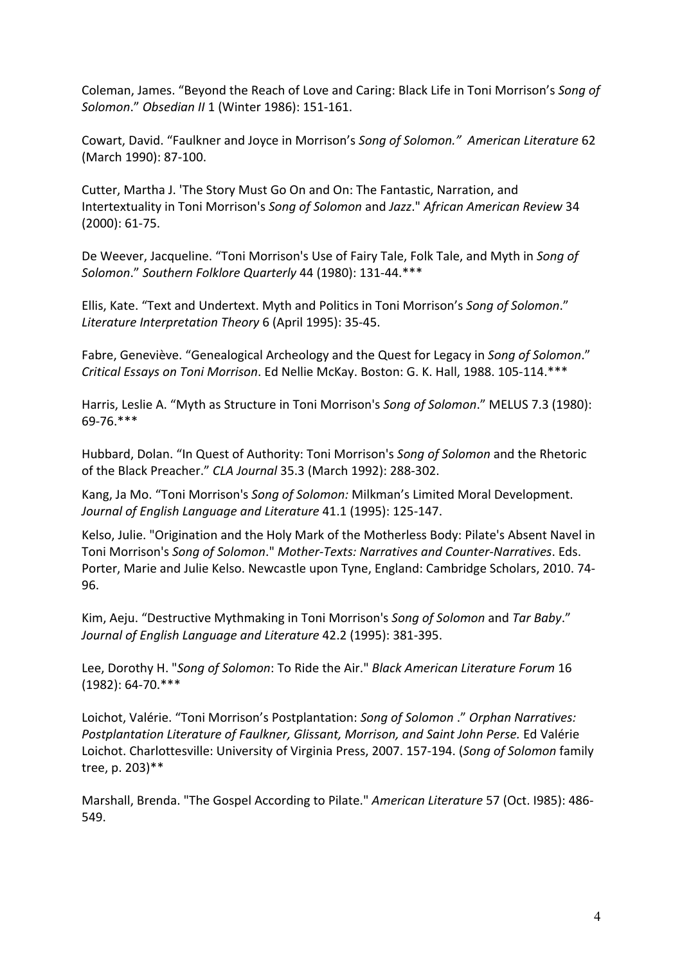Coleman, James. "Beyond the Reach of Love and Caring: Black Life in Toni Morrison's *Song of Solomon*." *Obsedian II* 1 (Winter 1986): 151-161.

Cowart, David. "Faulkner and Joyce in Morrison's *Song of Solomon." American Literature* 62 (March 1990): 87-100.

Cutter, Martha J. 'The Story Must Go On and On: The Fantastic, Narration, and Intertextuality in Toni Morrison's *Song of Solomon* and *Jazz*." *African American Review* 34 (2000): 61-75.

De Weever, Jacqueline. "Toni Morrison's Use of Fairy Tale, Folk Tale, and Myth in *Song of Solomon*." *Southern Folklore Quarterly* 44 (1980): 131-44.\*\*\*

Ellis, Kate. "Text and Undertext. Myth and Politics in Toni Morrison's *Song of Solomon*." *Literature Interpretation Theory* 6 (April 1995): 35-45.

Fabre, Geneviève. "Genealogical Archeology and the Quest for Legacy in *Song of Solomon*." *Critical Essays on Toni Morrison*. Ed Nellie McKay. Boston: G. K. Hall, 1988. 105-114.\*\*\*

Harris, Leslie A. "Myth as Structure in Toni Morrison's *Song of Solomon*." MELUS 7.3 (1980): 69-76.\*\*\*

Hubbard, Dolan. "In Quest of Authority: Toni Morrison's *Song of Solomon* and the Rhetoric of the Black Preacher." *CLA Journal* 35.3 (March 1992): 288-302.

Kang, Ja Mo. "Toni Morrison's *Song of Solomon:* Milkman's Limited Moral Development. *Journal of English Language and Literature* 41.1 (1995): 125-147.

Kelso, Julie. "Origination and the Holy Mark of the Motherless Body: Pilate's Absent Navel in Toni Morrison's *Song of Solomon*." *Mother-Texts: Narratives and Counter-Narratives*. Eds. Porter, Marie and Julie Kelso. Newcastle upon Tyne, England: Cambridge Scholars, 2010. 74- 96.

Kim, Aeju. "Destructive Mythmaking in Toni Morrison's *Song of Solomon* and *Tar Baby*." *Journal of English Language and Literature* 42.2 (1995): 381-395.

Lee, Dorothy H. "*Song of Solomon*: To Ride the Air." *Black American Literature Forum* 16 (1982): 64-70.\*\*\*

Loichot, Valérie. "Toni Morrison's Postplantation: *Song of Solomon* ." *Orphan Narratives: Postplantation Literature of Faulkner, Glissant, Morrison, and Saint John Perse.* Ed Valérie Loichot. Charlottesville: University of Virginia Press, 2007. 157-194. (*Song of Solomon* family tree, p. 203)\*\*

Marshall, Brenda. "The Gospel According to Pilate." *American Literature* 57 (Oct. I985): 486- 549.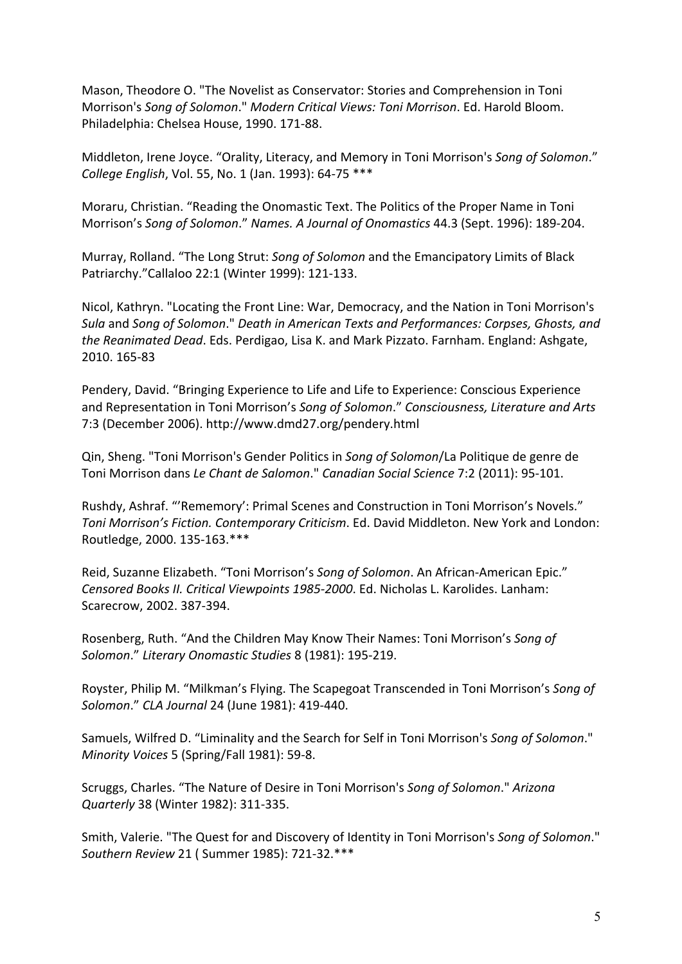Mason, Theodore O. "The Novelist as Conservator: Stories and Comprehension in Toni Morrison's *Song of Solomon*." *Modern Critical Views: Toni Morrison*. Ed. Harold Bloom. Philadelphia: Chelsea House, 1990. 171-88.

Middleton, Irene Joyce. "Orality, Literacy, and Memory in Toni Morrison's *Song of Solomon*." *College English*, Vol. 55, No. 1 (Jan. 1993): 64-75 \*\*\*

Moraru, Christian. "Reading the Onomastic Text. The Politics of the Proper Name in Toni Morrison's *Song of Solomon*." *Names. A Journal of Onomastics* 44.3 (Sept. 1996): 189-204.

Murray, Rolland. "The Long Strut: *Song of Solomon* and the Emancipatory Limits of Black Patriarchy."Callaloo 22:1 (Winter 1999): 121-133.

Nicol, Kathryn. "Locating the Front Line: War, Democracy, and the Nation in Toni Morrison's *Sula* and *Song of Solomon*." *Death in American Texts and Performances: Corpses, Ghosts, and the Reanimated Dead*. Eds. Perdigao, Lisa K. and Mark Pizzato. Farnham. England: Ashgate, 2010. 165-83

Pendery, David. "Bringing Experience to Life and Life to Experience: Conscious Experience and Representation in Toni Morrison's *Song of Solomon*." *Consciousness, Literature and Arts* 7:3 (December 2006). http://www.dmd27.org/pendery.html

Qin, Sheng. "Toni Morrison's Gender Politics in *Song of Solomon*/La Politique de genre de Toni Morrison dans *Le Chant de Salomon*." *Canadian Social Science* 7:2 (2011): 95-101.

Rushdy, Ashraf. "'Rememory': Primal Scenes and Construction in Toni Morrison's Novels." *Toni Morrison's Fiction. Contemporary Criticism*. Ed. David Middleton. New York and London: Routledge, 2000. 135-163.\*\*\*

Reid, Suzanne Elizabeth. "Toni Morrison's *Song of Solomon*. An African-American Epic." *Censored Books II. Critical Viewpoints 1985-2000*. Ed. Nicholas L. Karolides. Lanham: Scarecrow, 2002. 387-394.

Rosenberg, Ruth. "And the Children May Know Their Names: Toni Morrison's *Song of Solomon*." *Literary Onomastic Studies* 8 (1981): 195-219.

Royster, Philip M. "Milkman's Flying. The Scapegoat Transcended in Toni Morrison's *Song of Solomon*." *CLA Journal* 24 (June 1981): 419-440.

Samuels, Wilfred D. "Liminality and the Search for Self in Toni Morrison's *Song of Solomon*." *Minority Voices* 5 (Spring/Fall 1981): 59-8.

Scruggs, Charles. "The Nature of Desire in Toni Morrison's *Song of Solomon*." *Arizona Quarterly* 38 (Winter 1982): 311-335.

Smith, Valerie. "The Quest for and Discovery of Identity in Toni Morrison's *Song of Solomon*." *Southern Review* 21 ( Summer 1985): 721-32.\*\*\*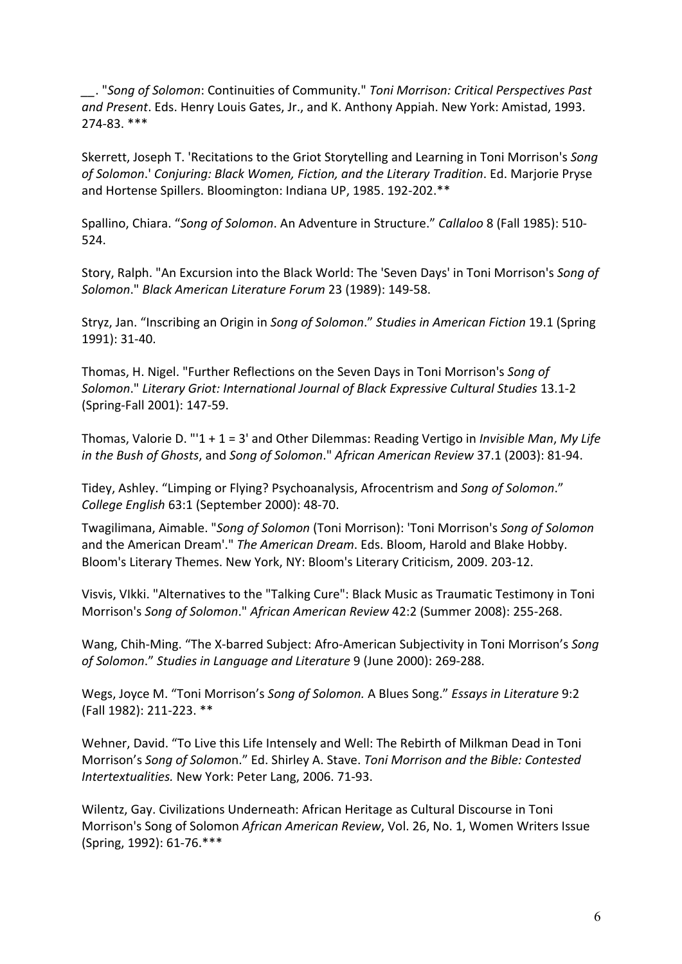*\_\_*. "*Song of Solomon*: Continuities of Community." *Toni Morrison: Critical Perspectives Past and Present*. Eds. Henry Louis Gates, Jr., and K. Anthony Appiah. New York: Amistad, 1993. 274-83. \*\*\*

Skerrett, Joseph T. 'Recitations to the Griot Storytelling and Learning in Toni Morrison's *Song of Solomon*.' *Conjuring: Black Women, Fiction, and the Literary Tradition*. Ed. Marjorie Pryse and Hortense Spillers. Bloomington: Indiana UP, 1985. 192-202.\*\*

Spallino, Chiara. "*Song of Solomon*. An Adventure in Structure." *Callaloo* 8 (Fall 1985): 510- 524.

Story, Ralph. "An Excursion into the Black World: The 'Seven Days' in Toni Morrison's *Song of Solomon*." *Black American Literature Forum* 23 (1989): 149-58.

Stryz, Jan. "Inscribing an Origin in *Song of Solomon*." *Studies in American Fiction* 19.1 (Spring 1991): 31-40.

Thomas, H. Nigel. "Further Reflections on the Seven Days in Toni Morrison's *Song of Solomon*." *Literary Griot: International Journal of Black Expressive Cultural Studies* 13.1-2 (Spring-Fall 2001): 147-59.

Thomas, Valorie D. "'1 + 1 = 3' and Other Dilemmas: Reading Vertigo in *Invisible Man*, *My Life in the Bush of Ghosts*, and *Song of Solomon*." *African American Review* 37.1 (2003): 81-94.

Tidey, Ashley. "Limping or Flying? Psychoanalysis, Afrocentrism and *Song of Solomon*." *College English* 63:1 (September 2000): 48-70.

Twagilimana, Aimable. "*Song of Solomon* (Toni Morrison): 'Toni Morrison's *Song of Solomon* and the American Dream'." *The American Dream*. Eds. Bloom, Harold and Blake Hobby. Bloom's Literary Themes. New York, NY: Bloom's Literary Criticism, 2009. 203-12.

Visvis, VIkki. "Alternatives to the "Talking Cure": Black Music as Traumatic Testimony in Toni Morrison's *Song of Solomon*." *African American Review* 42:2 (Summer 2008): 255-268.

Wang, Chih-Ming. "The X-barred Subject: Afro-American Subjectivity in Toni Morrison's *Song of Solomon*." *Studies in Language and Literature* 9 (June 2000): 269-288.

Wegs, Joyce M. "Toni Morrison's *Song of Solomon.* A Blues Song." *Essays in Literature* 9:2 (Fall 1982): 211-223. \*\*

Wehner, David. "To Live this Life Intensely and Well: The Rebirth of Milkman Dead in Toni Morrison's *Song of Solomo*n." Ed. Shirley A. Stave. *Toni Morrison and the Bible: Contested Intertextualities.* New York: Peter Lang, 2006. 71-93.

Wilentz, Gay. Civilizations Underneath: African Heritage as Cultural Discourse in Toni Morrison's Song of Solomon *African American Review*, Vol. 26, No. 1, Women Writers Issue (Spring, 1992): 61-76.\*\*\*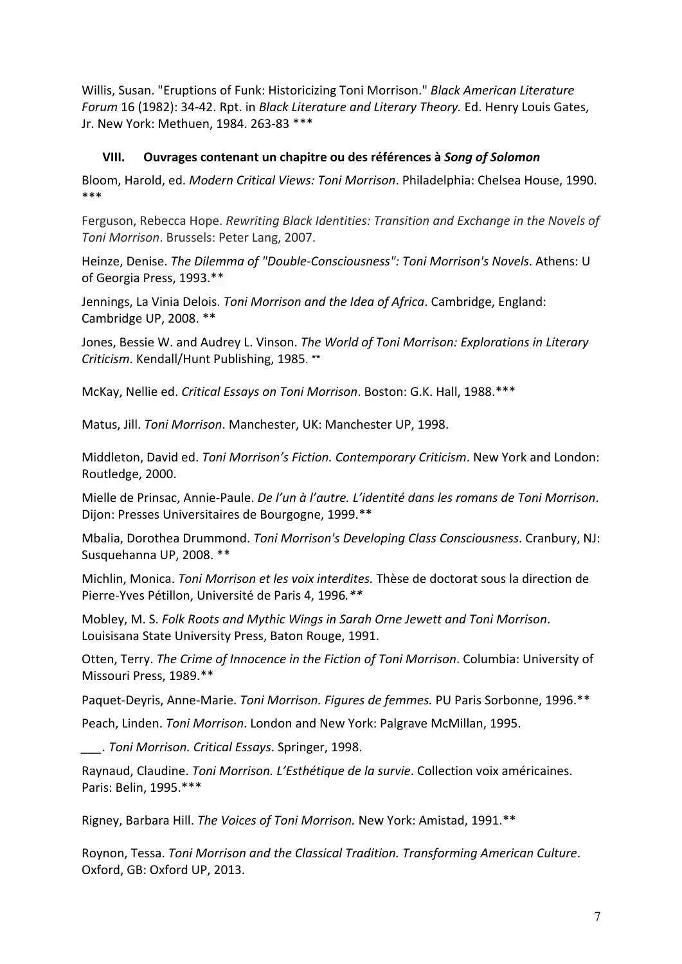Willis, Susan. "Eruptions of Funk: Historicizing Toni Morrison." *Black American Literature Forum* 16 (1982): 34-42. Rpt. in *Black Literature and Literary Theory.* Ed. Henry Louis Gates, Jr. New York: Methuen, 1984. 263-83 \*\*\*

## **VIII. Ouvrages contenant un chapitre ou des références à** *Song of Solomon*

Bloom, Harold, ed. *Modern Critical Views: Toni Morrison*. Philadelphia: Chelsea House, 1990. \*\*\*

Ferguson, Rebecca Hope. *Rewriting Black Identities: Transition and Exchange in the Novels of Toni Morrison*. Brussels: Peter Lang, 2007.

Heinze, Denise. *The Dilemma of "Double-Consciousness": Toni Morrison's Novels*. Athens: U of Georgia Press, 1993.\*\*

Jennings, La Vinia Delois. *Toni Morrison and the Idea of Africa*. Cambridge, England: Cambridge UP, 2008. \*\*

Jones, Bessie W. and Audrey L. Vinson. *The World of Toni Morrison: Explorations in Literary Criticism*. Kendall/Hunt Publishing, 1985. \*\*

McKay, Nellie ed. *Critical Essays on Toni Morrison*. Boston: G.K. Hall, 1988.\*\*\*

Matus, Jill. *Toni Morrison*. Manchester, UK: Manchester UP, 1998.

Middleton, David ed. *Toni Morrison's Fiction. Contemporary Criticism*. New York and London: Routledge, 2000.

Mielle de Prinsac, Annie-Paule. *De l'un à l'autre. L'identité dans les romans de Toni Morrison*. Dijon: Presses Universitaires de Bourgogne, 1999.\*\*

Mbalia, Dorothea Drummond. *Toni Morrison's Developing Class Consciousness*. Cranbury, NJ: Susquehanna UP, 2008. \*\*

Michlin, Monica. *Toni Morrison et les voix interdites.* Thèse de doctorat sous la direction de Pierre-Yves Pétillon, Université de Paris 4, 1996*.\*\**

Mobley, M. S. *Folk Roots and Mythic Wings in Sarah Orne Jewett and Toni Morrison*. Louisisana State University Press, Baton Rouge, 1991.

Otten, Terry. *The Crime of Innocence in the Fiction of Toni Morrison*. Columbia: University of Missouri Press, 1989.\*\*

Paquet-Deyris, Anne-Marie. *Toni Morrison. Figures de femmes.* PU Paris Sorbonne, 1996.\*\*

Peach, Linden. *Toni Morrison*. London and New York: Palgrave McMillan, 1995.

*\_\_\_. Toni Morrison. Critical Essays*. Springer, 1998.

Raynaud, Claudine. *Toni Morrison. L'Esthétique de la survie*. Collection voix américaines. Paris: Belin, 1995.\*\*\*

Rigney, Barbara Hill. *The Voices of Toni Morrison.* New York: Amistad, 1991.\*\*

Roynon, Tessa. *Toni Morrison and the Classical Tradition. Transforming American Culture*. Oxford, GB: Oxford UP, 2013.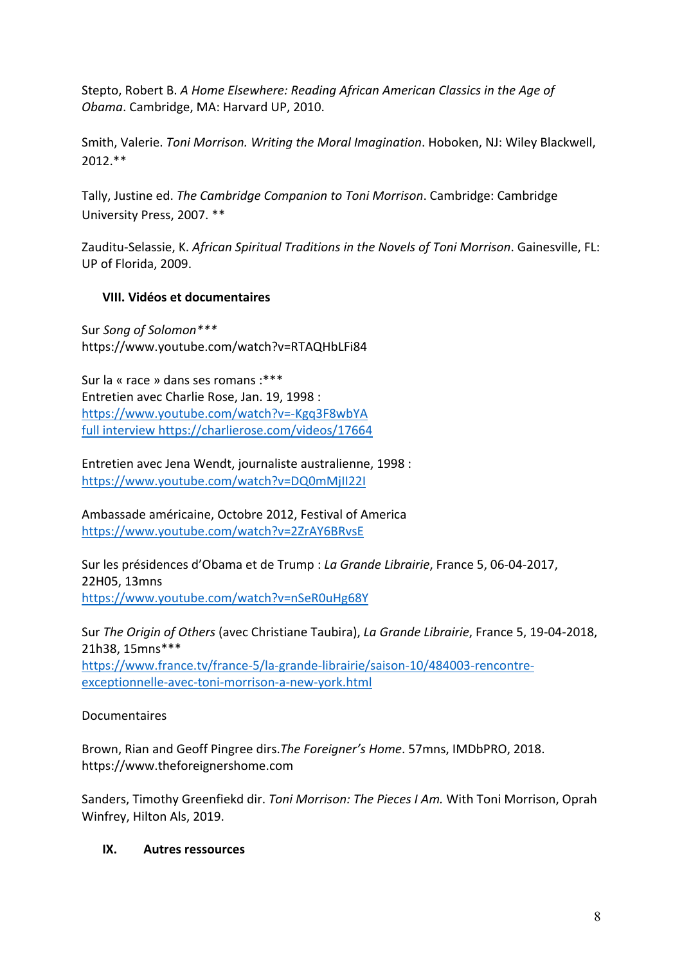Stepto, Robert B. *A Home Elsewhere: Reading African American Classics in the Age of Obama*. Cambridge, MA: Harvard UP, 2010.

Smith, Valerie. *Toni Morrison. Writing the Moral Imagination*. Hoboken, NJ: Wiley Blackwell, 2012.\*\*

Tally, Justine ed. *The Cambridge Companion to Toni Morrison*. Cambridge: Cambridge University Press, 2007. \*\*

Zauditu-Selassie, K. *African Spiritual Traditions in the Novels of Toni Morrison*. Gainesville, FL: UP of Florida, 2009.

## **VIII. Vidéos et documentaires**

Sur *Song of Solomon\*\*\** https://www.youtube.com/watch?v=RTAQHbLFi84

Sur la « race » dans ses romans :\*\*\* Entretien avec Charlie Rose, Jan. 19, 1998 : https://www.youtube.com/watch?v=-Kgq3F8wbYA full interview https://charlierose.com/videos/17664

Entretien avec Jena Wendt, journaliste australienne, 1998 : https://www.youtube.com/watch?v=DQ0mMjII22I

Ambassade américaine, Octobre 2012, Festival of America https://www.youtube.com/watch?v=2ZrAY6BRvsE

Sur les présidences d'Obama et de Trump : *La Grande Librairie*, France 5, 06-04-2017, 22H05, 13mns https://www.youtube.com/watch?v=nSeR0uHg68Y

Sur *The Origin of Others* (avec Christiane Taubira), *La Grande Librairie*, France 5, 19-04-2018, 21h38, 15mns\*\*\* https://www.france.tv/france-5/la-grande-librairie/saison-10/484003-rencontreexceptionnelle-avec-toni-morrison-a-new-york.html

## Documentaires

Brown, Rian and Geoff Pingree dirs.*The Foreigner's Home*. 57mns, IMDbPRO, 2018. https://www.theforeignershome.com

Sanders, Timothy Greenfiekd dir. *Toni Morrison: The Pieces I Am.* With Toni Morrison, Oprah Winfrey, Hilton Als, 2019.

#### **IX. Autres ressources**